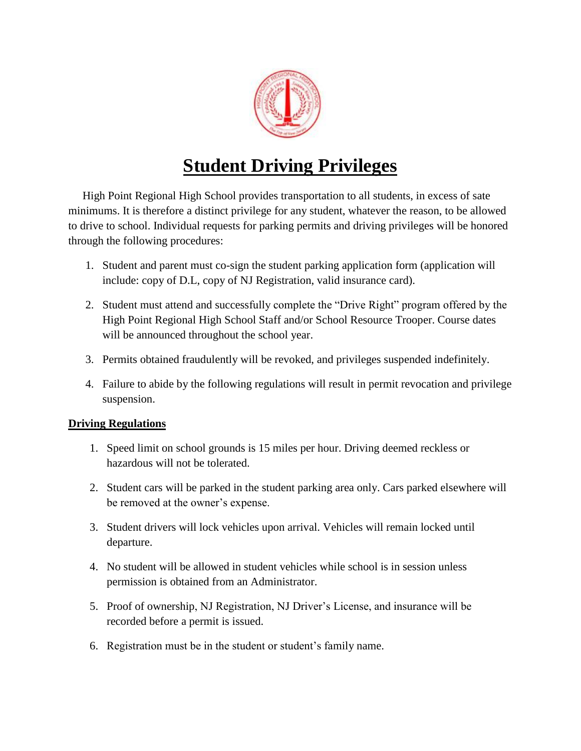

## **Student Driving Privileges**

 High Point Regional High School provides transportation to all students, in excess of sate minimums. It is therefore a distinct privilege for any student, whatever the reason, to be allowed to drive to school. Individual requests for parking permits and driving privileges will be honored through the following procedures:

- 1. Student and parent must co-sign the student parking application form (application will include: copy of D.L, copy of NJ Registration, valid insurance card).
- 2. Student must attend and successfully complete the "Drive Right" program offered by the High Point Regional High School Staff and/or School Resource Trooper. Course dates will be announced throughout the school year.
- 3. Permits obtained fraudulently will be revoked, and privileges suspended indefinitely.
- 4. Failure to abide by the following regulations will result in permit revocation and privilege suspension.

## **Driving Regulations**

- 1. Speed limit on school grounds is 15 miles per hour. Driving deemed reckless or hazardous will not be tolerated.
- 2. Student cars will be parked in the student parking area only. Cars parked elsewhere will be removed at the owner's expense.
- 3. Student drivers will lock vehicles upon arrival. Vehicles will remain locked until departure.
- 4. No student will be allowed in student vehicles while school is in session unless permission is obtained from an Administrator.
- 5. Proof of ownership, NJ Registration, NJ Driver's License, and insurance will be recorded before a permit is issued.
- 6. Registration must be in the student or student's family name.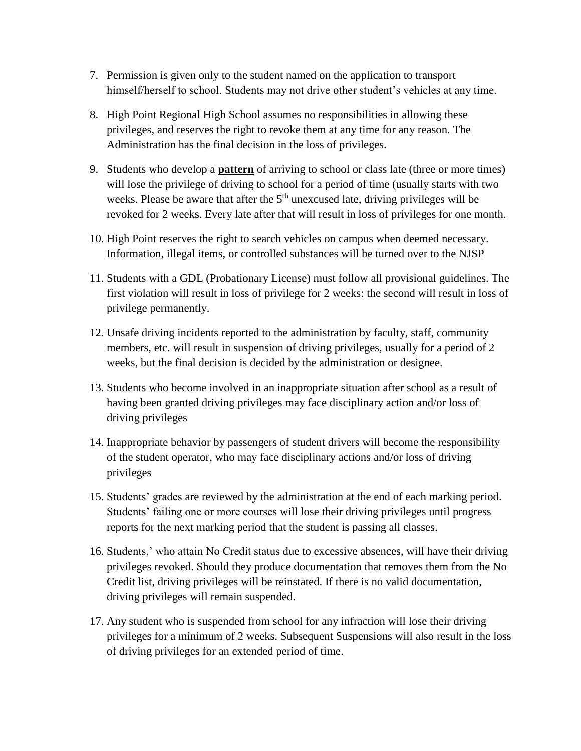- 7. Permission is given only to the student named on the application to transport himself/herself to school. Students may not drive other student's vehicles at any time.
- 8. High Point Regional High School assumes no responsibilities in allowing these privileges, and reserves the right to revoke them at any time for any reason. The Administration has the final decision in the loss of privileges.
- 9. Students who develop a **pattern** of arriving to school or class late (three or more times) will lose the privilege of driving to school for a period of time (usually starts with two weeks. Please be aware that after the  $5<sup>th</sup>$  unexcused late, driving privileges will be revoked for 2 weeks. Every late after that will result in loss of privileges for one month.
- 10. High Point reserves the right to search vehicles on campus when deemed necessary. Information, illegal items, or controlled substances will be turned over to the NJSP
- 11. Students with a GDL (Probationary License) must follow all provisional guidelines. The first violation will result in loss of privilege for 2 weeks: the second will result in loss of privilege permanently.
- 12. Unsafe driving incidents reported to the administration by faculty, staff, community members, etc. will result in suspension of driving privileges, usually for a period of 2 weeks, but the final decision is decided by the administration or designee.
- 13. Students who become involved in an inappropriate situation after school as a result of having been granted driving privileges may face disciplinary action and/or loss of driving privileges
- 14. Inappropriate behavior by passengers of student drivers will become the responsibility of the student operator, who may face disciplinary actions and/or loss of driving privileges
- 15. Students' grades are reviewed by the administration at the end of each marking period. Students' failing one or more courses will lose their driving privileges until progress reports for the next marking period that the student is passing all classes.
- 16. Students,' who attain No Credit status due to excessive absences, will have their driving privileges revoked. Should they produce documentation that removes them from the No Credit list, driving privileges will be reinstated. If there is no valid documentation, driving privileges will remain suspended.
- 17. Any student who is suspended from school for any infraction will lose their driving privileges for a minimum of 2 weeks. Subsequent Suspensions will also result in the loss of driving privileges for an extended period of time.